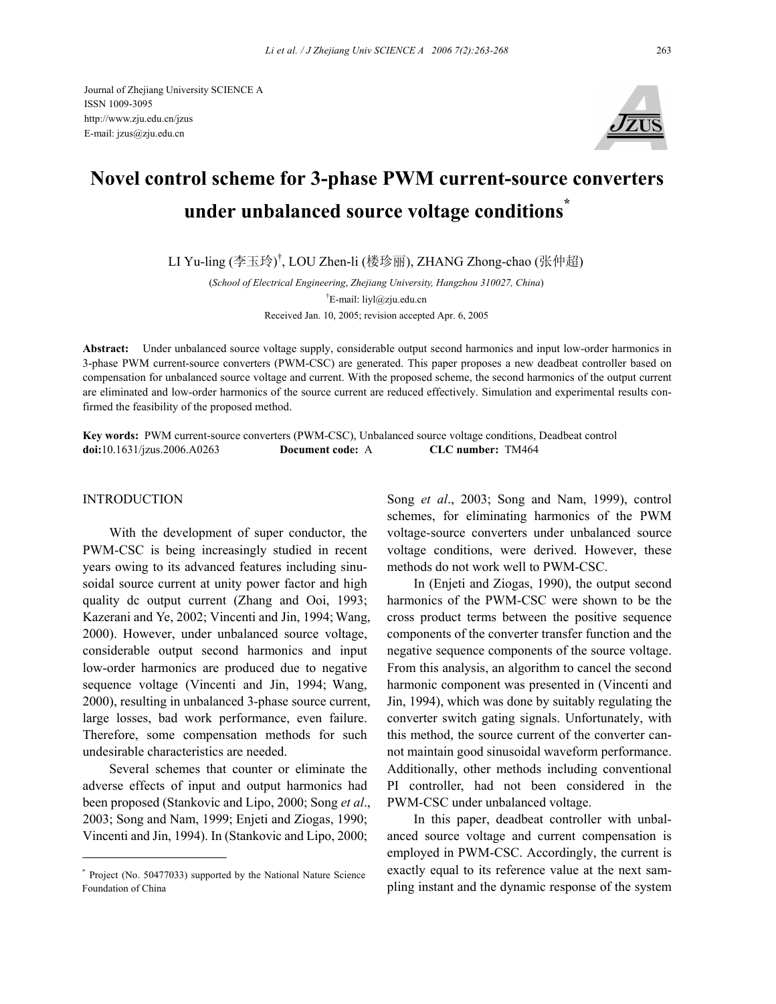Journal of Zhejiang University SCIENCE A ISSN 1009-3095 http://www.zju.edu.cn/jzus E-mail: jzus@zju.edu.cn



# **Novel control scheme for 3-phase PWM current-source converters under unbalanced source voltage conditions\***

LI Yu-ling (李玉玲) † , LOU Zhen-li (楼珍丽), ZHANG Zhong-chao (张仲超)

(*School of Electrical Engineering*, *Zhejiang University, Hangzhou 310027, China*) † E-mail: liyl@zju.edu.cn Received Jan. 10, 2005; revision accepted Apr. 6, 2005

**Abstract:** Under unbalanced source voltage supply, considerable output second harmonics and input low-order harmonics in 3-phase PWM current-source converters (PWM-CSC) are generated. This paper proposes a new deadbeat controller based on compensation for unbalanced source voltage and current. With the proposed scheme, the second harmonics of the output current are eliminated and low-order harmonics of the source current are reduced effectively. Simulation and experimental results confirmed the feasibility of the proposed method.

**Key words:** PWM current-source converters (PWM-CSC), Unbalanced source voltage conditions, Deadbeat control **doi:**10.1631/jzus.2006.A0263 **Document code:** A **CLC number:** TM464

## **INTRODUCTION**

With the development of super conductor, the PWM-CSC is being increasingly studied in recent years owing to its advanced features including sinusoidal source current at unity power factor and high quality dc output current (Zhang and Ooi, 1993; Kazerani and Ye, 2002; Vincenti and Jin, 1994; Wang, 2000). However, under unbalanced source voltage, considerable output second harmonics and input low-order harmonics are produced due to negative sequence voltage (Vincenti and Jin, 1994; Wang, 2000), resulting in unbalanced 3-phase source current, large losses, bad work performance, even failure. Therefore, some compensation methods for such undesirable characteristics are needed.

Several schemes that counter or eliminate the adverse effects of input and output harmonics had been proposed (Stankovic and Lipo, 2000; Song *et al*., 2003; Song and Nam, 1999; Enjeti and Ziogas, 1990; Vincenti and Jin, 1994). In (Stankovic and Lipo, 2000;

Song *et al*., 2003; Song and Nam, 1999), control schemes, for eliminating harmonics of the PWM voltage-source converters under unbalanced source voltage conditions, were derived. However, these methods do not work well to PWM-CSC.

In (Enjeti and Ziogas, 1990), the output second harmonics of the PWM-CSC were shown to be the cross product terms between the positive sequence components of the converter transfer function and the negative sequence components of the source voltage. From this analysis, an algorithm to cancel the second harmonic component was presented in (Vincenti and Jin, 1994), which was done by suitably regulating the converter switch gating signals. Unfortunately, with this method, the source current of the converter cannot maintain good sinusoidal waveform performance. Additionally, other methods including conventional PI controller, had not been considered in the PWM-CSC under unbalanced voltage.

In this paper, deadbeat controller with unbalanced source voltage and current compensation is employed in PWM-CSC. Accordingly, the current is exactly equal to its reference value at the next sampling instant and the dynamic response of the system

<sup>\*</sup> Project (No. 50477033) supported by the National Nature Science Foundation of China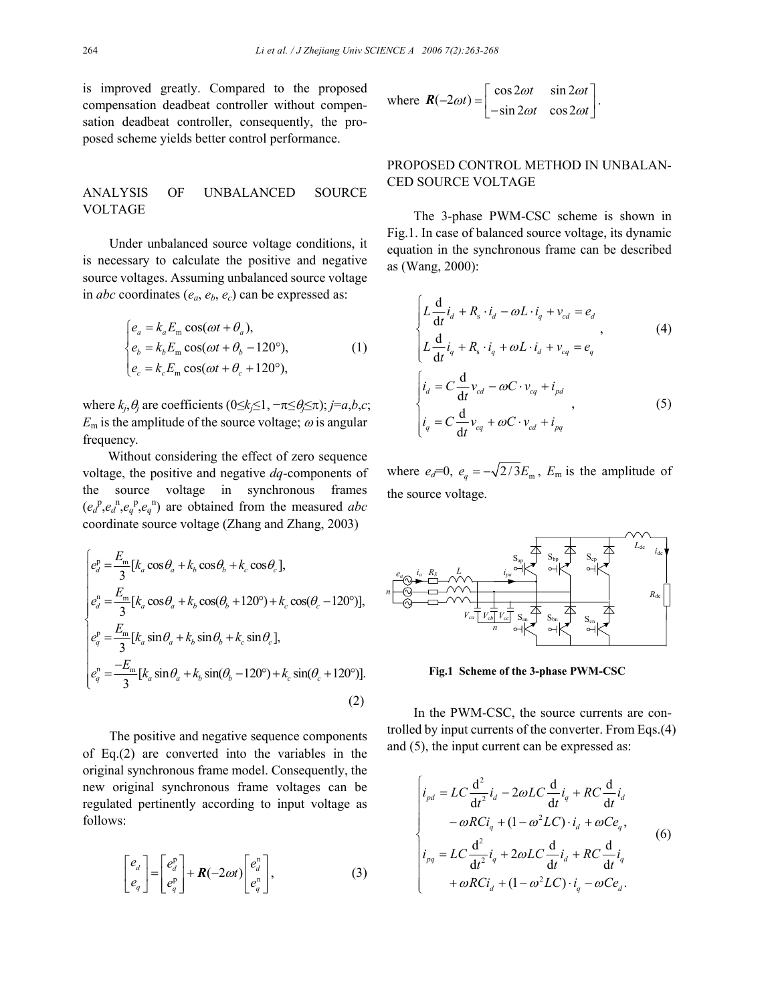is improved greatly. Compared to the proposed compensation deadbeat controller without compensation deadbeat controller, consequently, the proposed scheme yields better control performance.

# ANALYSIS OF UNBALANCED SOURCE VOLTAGE

Under unbalanced source voltage conditions, it is necessary to calculate the positive and negative source voltages. Assuming unbalanced source voltage in *abc* coordinates  $(e_a, e_b, e_c)$  can be expressed as:

$$
\begin{cases}\ne_{a} = k_{a}E_{\text{m}}\cos(\omega t + \theta_{a}),\\ \ne_{b} = k_{b}E_{\text{m}}\cos(\omega t + \theta_{b} - 120^{\circ}),\\ e_{c} = k_{c}E_{\text{m}}\cos(\omega t + \theta_{c} + 120^{\circ}),\end{cases}
$$
\n(1)

where  $k_i, \theta_i$  are coefficients  $(0 \leq k_i \leq 1, -\pi \leq \theta_i \leq \pi)$ ; *j*=*a*,*b*,*c*;  $E_m$  is the amplitude of the source voltage;  $\omega$  is angular frequency.

Without considering the effect of zero sequence voltage, the positive and negative *dq*-components of the source voltage in synchronous frames  $(e_d^p, e_d^p, e_q^p, e_q^p)$  are obtained from the measured *abc* coordinate source voltage (Zhang and Zhang, 2003)

$$
\begin{cases}\ne_{d}^{p} = \frac{E_{m}}{3} [k_{a} \cos \theta_{a} + k_{b} \cos \theta_{b} + k_{c} \cos \theta_{c}],\\
e_{d}^{n} = \frac{E_{m}}{3} [k_{a} \cos \theta_{a} + k_{b} \cos (\theta_{b} + 120^{\circ}) + k_{c} \cos (\theta_{c} - 120^{\circ})],\\
e_{q}^{p} = \frac{E_{m}}{3} [k_{a} \sin \theta_{a} + k_{b} \sin \theta_{b} + k_{c} \sin \theta_{c}],\\
e_{q}^{n} = \frac{-E_{m}}{3} [k_{a} \sin \theta_{a} + k_{b} \sin (\theta_{b} - 120^{\circ}) + k_{c} \sin (\theta_{c} + 120^{\circ})].\n\end{cases}
$$
\n(2)

The positive and negative sequence components of Eq.(2) are converted into the variables in the original synchronous frame model. Consequently, the new original synchronous frame voltages can be regulated pertinently according to input voltage as follows:

$$
\begin{bmatrix} e_d \\ e_q \end{bmatrix} = \begin{bmatrix} e_d^p \\ e_q^p \end{bmatrix} + \mathbf{R}(-2\omega t) \begin{bmatrix} e_d^n \\ e_q^n \end{bmatrix},
$$
\n(3)

where 
$$
\mathbf{R}(-2\omega t) = \begin{bmatrix} \cos 2\omega t & \sin 2\omega t \\ -\sin 2\omega t & \cos 2\omega t \end{bmatrix}
$$
.

# PROPOSED CONTROL METHOD IN UNBALAN-CED SOURCE VOLTAGE

The 3-phase PWM-CSC scheme is shown in Fig.1. In case of balanced source voltage, its dynamic equation in the synchronous frame can be described as (Wang, 2000):

$$
\begin{cases}\nL\frac{d}{dt}i_d + R_s \cdot i_d - \omega L \cdot i_q + v_{cd} = e_d \\
L\frac{d}{dt}i_q + R_s \cdot i_q + \omega L \cdot i_d + v_{cq} = e_q\n\end{cases}
$$
\n
$$
\begin{cases}\ni_d = C\frac{d}{dt}v_{cd} - \omega C \cdot v_{cq} + i_{pd} \\
i_q = C\frac{d}{dt}v_{cq} + \omega C \cdot v_{cd} + i_{pq}\n\end{cases}
$$
\n(5)

where  $e_d=0$ ,  $e_q = -\sqrt{2/3} E_m$ ,  $E_m$  is the amplitude of the source voltage.



**Fig.1 Scheme of the 3-phase PWM-CSC**

In the PWM-CSC, the source currents are controlled by input currents of the converter. From Eqs.(4) and (5), the input current can be expressed as:

$$
\begin{cases}\ni_{pd} = LC \frac{d^2}{dt^2} i_d - 2\omega LC \frac{d}{dt} i_q + RC \frac{d}{dt} i_d \\
-\omega RC i_q + (1 - \omega^2 LC) \cdot i_d + \omega Ce_q, \\
i_{pq} = LC \frac{d^2}{dt^2} i_q + 2\omega LC \frac{d}{dt} i_d + RC \frac{d}{dt} i_q \\
+\omega RC i_d + (1 - \omega^2 LC) \cdot i_q - \omega Ce_d.\n\end{cases}
$$
\n(6)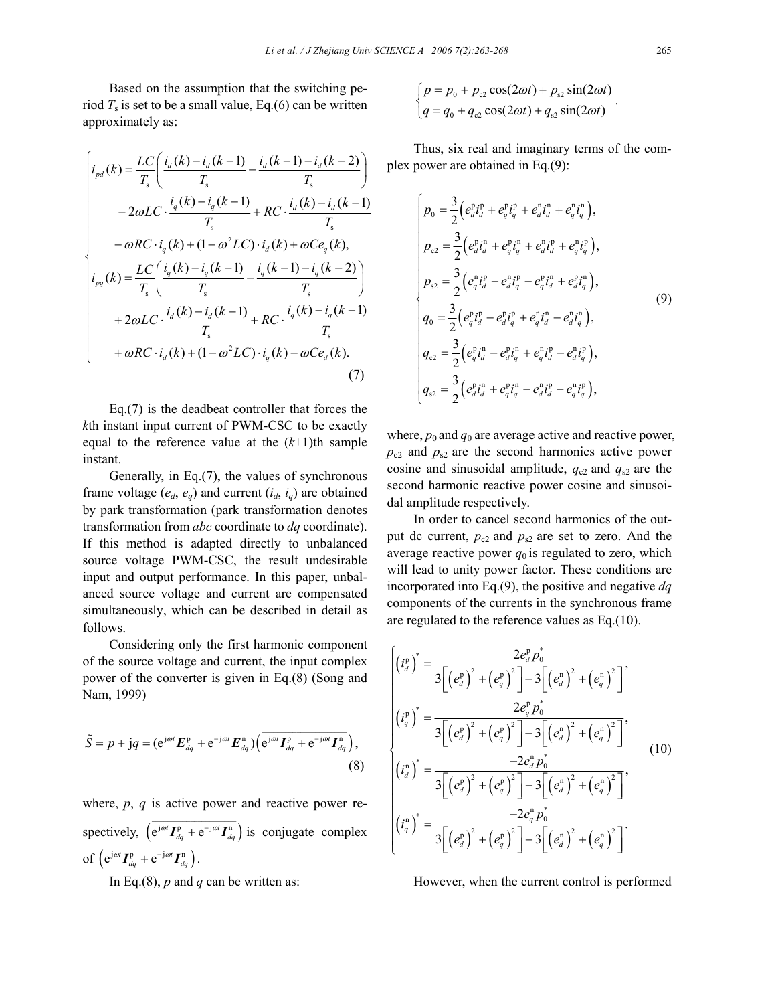Based on the assumption that the switching period  $T_s$  is set to be a small value, Eq.(6) can be written approximately as:

$$
\begin{cases}\ni_{pd}(k) = \frac{LC}{T_s} \left( \frac{i_d(k) - i_d(k-1)}{T_s} - \frac{i_d(k-1) - i_d(k-2)}{T_s} \right) \\
-2\omega LC \cdot \frac{i_q(k) - i_q(k-1)}{T_s} + RC \cdot \frac{i_d(k) - i_d(k-1)}{T_s} \\
-\omega RC \cdot i_q(k) + (1 - \omega^2 LC) \cdot i_d(k) + \omega Ce_q(k), \\
i_{pq}(k) = \frac{LC}{T_s} \left( \frac{i_q(k) - i_q(k-1)}{T_s} - \frac{i_q(k-1) - i_q(k-2)}{T_s} \right) \\
+2\omega LC \cdot \frac{i_d(k) - i_d(k-1)}{T_s} + RC \cdot \frac{i_q(k) - i_q(k-1)}{T_s} \\
+\omega RC \cdot i_d(k) + (1 - \omega^2 LC) \cdot i_q(k) - \omega Ce_d(k).\n\end{cases}
$$
\n(7)

Eq.(7) is the deadbeat controller that forces the *k*th instant input current of PWM-CSC to be exactly equal to the reference value at the  $(k+1)$ <sup>th</sup> sample instant.

Generally, in Eq.(7), the values of synchronous frame voltage  $(e_d, e_q)$  and current  $(i_d, i_q)$  are obtained by park transformation (park transformation denotes transformation from *abc* coordinate to *dq* coordinate). If this method is adapted directly to unbalanced source voltage PWM-CSC, the result undesirable input and output performance. In this paper, unbalanced source voltage and current are compensated simultaneously, which can be described in detail as follows.

Considering only the first harmonic component of the source voltage and current, the input complex power of the converter is given in Eq.(8) (Song and Nam, 1999)

$$
\tilde{S} = p + jq = (e^{j\omega t} \boldsymbol{E}_{dq}^{p} + e^{-j\omega t} \boldsymbol{E}_{dq}^{n}) (\overline{e^{j\omega t} \boldsymbol{I}_{dq}^{p} + e^{-j\omega t} \boldsymbol{I}_{dq}^{n}}),
$$
\n(8)

where, *p*, *q* is active power and reactive power respectively,  $(e^{j\omega t} I_{dq}^{p} + e^{-j\omega t} I_{dq}^{n})$  $\overline{e^{j\omega t} I_{dq}^p + e^{-j\omega t} I_{dq}^n}$  is conjugate complex of  $(e^{j\omega t} I_{dq}^{p} + e^{-j\omega t} I_{dq}^{n}).$ 

In Eq.(8), *p* and *q* can be written as:

$$
\begin{cases}\np = p_0 + p_{c2} \cos(2\omega t) + p_{s2} \sin(2\omega t) \\
q = q_0 + q_{c2} \cos(2\omega t) + q_{s2} \sin(2\omega t)\n\end{cases}.
$$

Thus, six real and imaginary terms of the complex power are obtained in Eq.(9):

$$
\begin{cases}\np_{0} = \frac{3}{2} \left( e_{d}^{p} i_{d}^{p} + e_{d}^{p} i_{q}^{p} + e_{d}^{n} i_{d}^{n} + e_{q}^{n} i_{q}^{n} \right), \\
p_{c2} = \frac{3}{2} \left( e_{d}^{p} i_{d}^{n} + e_{q}^{p} i_{q}^{n} + e_{d}^{n} i_{d}^{p} + e_{d}^{n} i_{q}^{p} \right), \\
p_{s2} = \frac{3}{2} \left( e_{q}^{n} i_{q}^{p} - e_{d}^{n} i_{q}^{p} - e_{q}^{p} i_{d}^{n} + e_{d}^{p} i_{q}^{n} \right), \\
q_{0} = \frac{3}{2} \left( e_{q}^{p} i_{d}^{p} - e_{d}^{p} i_{q}^{p} + e_{q}^{n} i_{d}^{n} - e_{d}^{n} i_{q}^{n} \right), \\
q_{c2} = \frac{3}{2} \left( e_{q}^{p} i_{d}^{n} - e_{d}^{p} i_{q}^{n} + e_{q}^{n} i_{d}^{p} - e_{d}^{n} i_{q}^{p} \right), \\
q_{s2} = \frac{3}{2} \left( e_{d}^{p} i_{d}^{n} + e_{q}^{p} i_{q}^{n} - e_{d}^{n} i_{q}^{p} - e_{q}^{n} i_{q}^{p} \right),\n\end{cases} \tag{9}
$$

where,  $p_0$  and  $q_0$  are average active and reactive power,  $p_{c2}$  and  $p_{s2}$  are the second harmonics active power cosine and sinusoidal amplitude,  $q_{c2}$  and  $q_{s2}$  are the second harmonic reactive power cosine and sinusoidal amplitude respectively.

In order to cancel second harmonics of the output dc current,  $p_{c2}$  and  $p_{s2}$  are set to zero. And the average reactive power  $q_0$  is regulated to zero, which will lead to unity power factor. These conditions are incorporated into Eq.(9), the positive and negative *dq* components of the currents in the synchronous frame are regulated to the reference values as Eq.(10).

$$
\begin{cases}\n\left(i_d^{\mathrm{p}}\right)^* = \frac{2e_d^{\mathrm{p}}p_0^*}{3\left[\left(e_d^{\mathrm{p}}\right)^2 + \left(e_q^{\mathrm{p}}\right)^2\right] - 3\left[\left(e_d^{\mathrm{n}}\right)^2 + \left(e_q^{\mathrm{n}}\right)^2\right]},\\
\left(i_q^{\mathrm{p}}\right)^* = \frac{2e_q^{\mathrm{p}}p_0^*}{3\left[\left(e_d^{\mathrm{p}}\right)^2 + \left(e_q^{\mathrm{p}}\right)^2\right] - 3\left[\left(e_d^{\mathrm{n}}\right)^2 + \left(e_q^{\mathrm{n}}\right)^2\right]},\\
\left(i_d^{\mathrm{n}}\right)^* = \frac{-2e_d^{\mathrm{n}}p_0^*}{3\left[\left(e_d^{\mathrm{p}}\right)^2 + \left(e_q^{\mathrm{p}}\right)^2\right] - 3\left[\left(e_d^{\mathrm{n}}\right)^2 + \left(e_q^{\mathrm{n}}\right)^2\right]},\\
\left(i_d^{\mathrm{n}}\right)^* = \frac{-2e_q^{\mathrm{n}}p_0^*}{3\left[\left(e_d^{\mathrm{p}}\right)^2 + \left(e_q^{\mathrm{p}}\right)^2\right] - 3\left[\left(e_d^{\mathrm{n}}\right)^2 + \left(e_q^{\mathrm{n}}\right)^2\right]}.\n\end{cases} \tag{10}
$$

However, when the current control is performed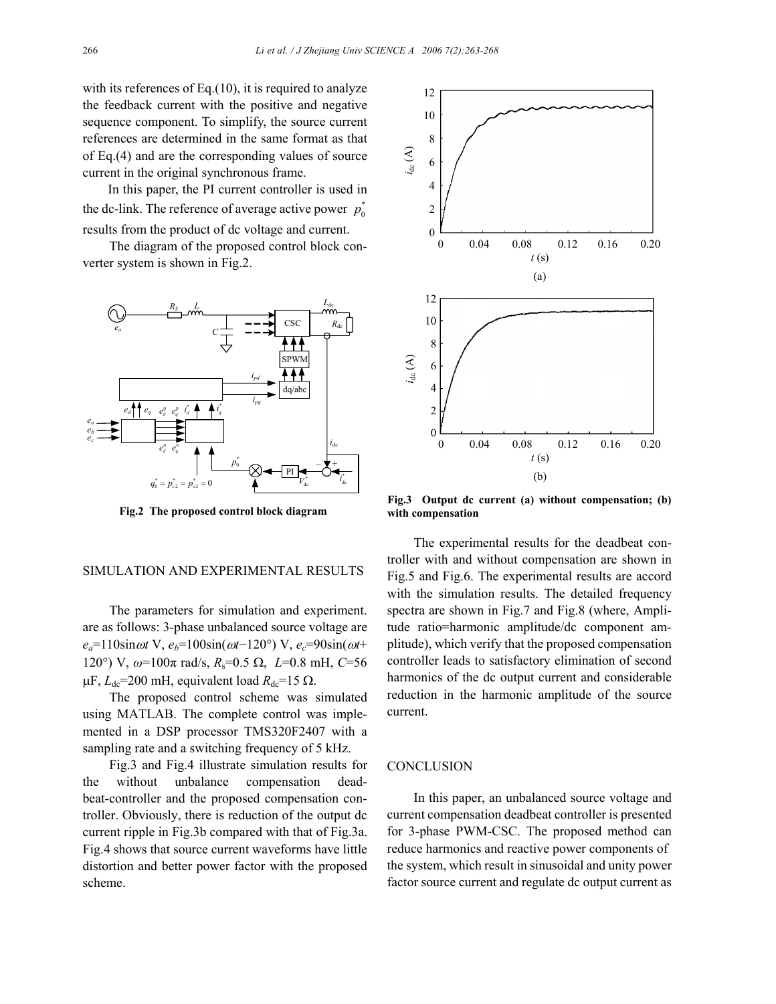with its references of Eq.(10), it is required to analyze the feedback current with the positive and negative sequence component. To simplify, the source current references are determined in the same format as that of Eq.(4) and are the corresponding values of source current in the original synchronous frame.

In this paper, the PI current controller is used in the dc-link. The reference of average active power  $p_0^*$ results from the product of dc voltage and current.

The diagram of the proposed control block converter system is shown in Fig.2.



**Fig.2 The proposed control block diagram with compensation**

#### SIMULATION AND EXPERIMENTAL RESULTS

The parameters for simulation and experiment. are as follows: 3-phase unbalanced source voltage are *ea*=110sinω*t* V, *eb*=100sin(ω*t*−120°) V, *ec*=90sin(ω*t*+ 120°) V, *ω*=100π rad/s, *R*s=0.5 Ω, *L*=0.8 mH, *C*=56  $μF, L<sub>dc</sub>=200$  mH, equivalent load  $R<sub>dc</sub>=15$  Ω.

The proposed control scheme was simulated using MATLAB. The complete control was implemented in a DSP processor TMS320F2407 with a sampling rate and a switching frequency of 5 kHz.

Fig.3 and Fig.4 illustrate simulation results for the without unbalance compensation deadbeat-controller and the proposed compensation controller. Obviously, there is reduction of the output dc current ripple in Fig.3b compared with that of Fig.3a. Fig.4 shows that source current waveforms have little distortion and better power factor with the proposed scheme.



**Fig.3 Output dc current (a) without compensation; (b)**

The experimental results for the deadbeat controller with and without compensation are shown in Fig.5 and Fig.6. The experimental results are accord with the simulation results. The detailed frequency spectra are shown in Fig.7 and Fig.8 (where, Amplitude ratio=harmonic amplitude/dc component amplitude), which verify that the proposed compensation controller leads to satisfactory elimination of second harmonics of the dc output current and considerable reduction in the harmonic amplitude of the source current.

## **CONCLUSION**

In this paper, an unbalanced source voltage and current compensation deadbeat controller is presented for 3-phase PWM-CSC. The proposed method can reduce harmonics and reactive power components of the system, which result in sinusoidal and unity power factor source current and regulate dc output current as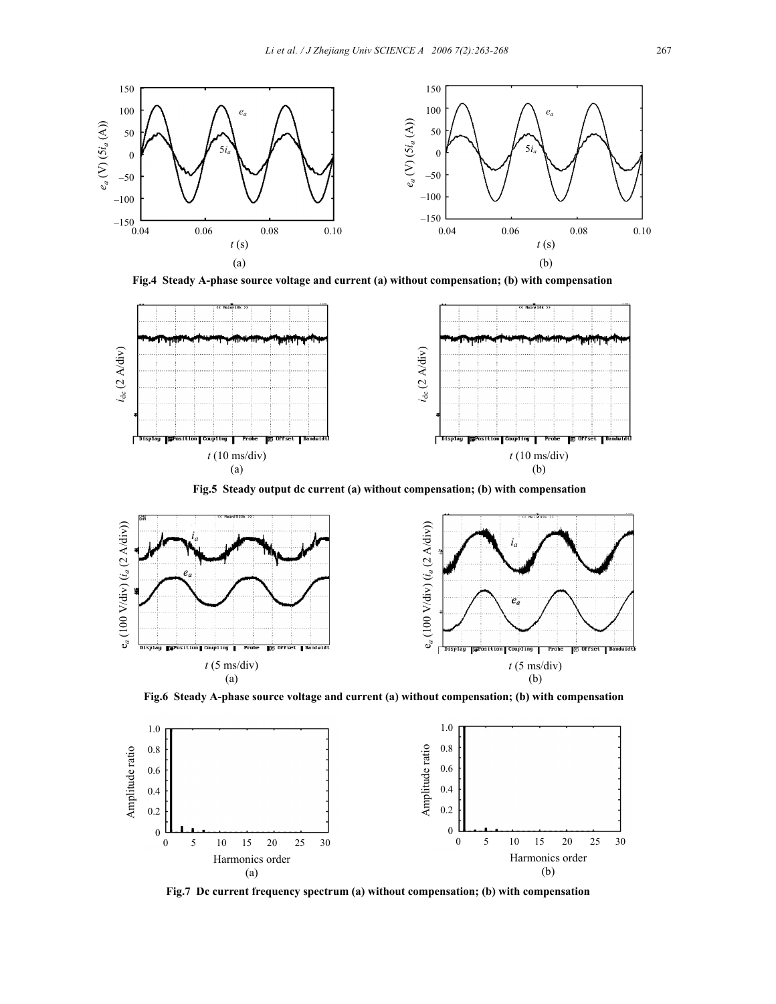

**Fig.4 Steady A-phase source voltage and current (a) without compensation; (b) with compensation**



**Fig.5 Steady output dc current (a) without compensation; (b) with compensation**



**Fig.6 Steady A-phase source voltage and current (a) without compensation; (b) with compensation** 



**Fig.7 Dc current frequency spectrum (a) without compensation; (b) with compensation**